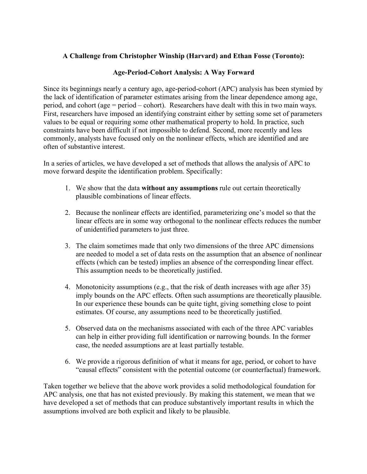## **A Challenge from Christopher Winship (Harvard) and Ethan Fosse (Toronto):**

## **Age-Period-Cohort Analysis: A Way Forward**

Since its beginnings nearly a century ago, age-period-cohort (APC) analysis has been stymied by the lack of identification of parameter estimates arising from the linear dependence among age, period, and cohort (age = period – cohort). Researchers have dealt with this in two main ways. First, researchers have imposed an identifying constraint either by setting some set of parameters values to be equal or requiring some other mathematical property to hold. In practice, such constraints have been difficult if not impossible to defend. Second, more recently and less commonly, analysts have focused only on the nonlinear effects, which are identified and are often of substantive interest.

In a series of articles, we have developed a set of methods that allows the analysis of APC to move forward despite the identification problem. Specifically:

- 1. We show that the data **without any assumptions** rule out certain theoretically plausible combinations of linear effects.
- 2. Because the nonlinear effects are identified, parameterizing one's model so that the linear effects are in some way orthogonal to the nonlinear effects reduces the number of unidentified parameters to just three.
- 3. The claim sometimes made that only two dimensions of the three APC dimensions are needed to model a set of data rests on the assumption that an absence of nonlinear effects (which can be tested) implies an absence of the corresponding linear effect. This assumption needs to be theoretically justified.
- 4. Monotonicity assumptions (e.g., that the risk of death increases with age after 35) imply bounds on the APC effects. Often such assumptions are theoretically plausible. In our experience these bounds can be quite tight, giving something close to point estimates. Of course, any assumptions need to be theoretically justified.
- 5. Observed data on the mechanisms associated with each of the three APC variables can help in either providing full identification or narrowing bounds. In the former case, the needed assumptions are at least partially testable.
- 6. We provide a rigorous definition of what it means for age, period, or cohort to have "causal effects" consistent with the potential outcome (or counterfactual) framework.

Taken together we believe that the above work provides a solid methodological foundation for APC analysis, one that has not existed previously. By making this statement, we mean that we have developed a set of methods that can produce substantively important results in which the assumptions involved are both explicit and likely to be plausible.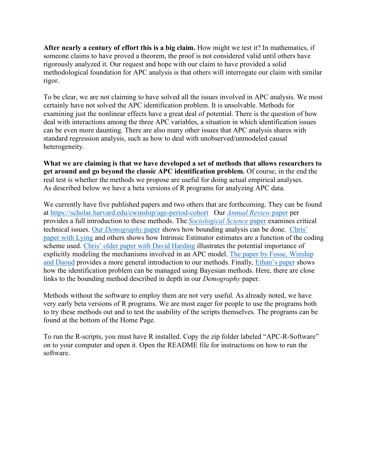**After nearly a century of effort this is a big claim.** How might we test it? In mathematics, if someone claims to have proved a theorem, the proof is not considered valid until others have rigorously analyzed it. Our request and hope with our claim to have provided a solid methodological foundation for APC analysis is that others will interrogate our claim with similar rigor.

To be clear, we are not claiming to have solved all the issues involved in APC analysis. We most certainly have not solved the APC identification problem. It is unsolvable. Methods for examining just the nonlinear effects have a great deal of potential. There is the question of how deal with interactions among the three APC variables, a situation in which identification issues can be even more daunting. There are also many other issues that APC analysis shares with standard regression analysis, such as how to deal with unobserved/unmodeled causal heterogeneity.

**What we are claiming is that we have developed a set of methods that allows researchers to get around and go beyond the classic APC identification problem.** Of course, in the end the real test is whether the methods we propose are useful for doing actual empirical analyses. As described below we have a beta versions of R programs for analyzing APC data.

We currently have five published papers and two others that are forthcoming. They can be found at https://scholar.harvard.edu/cwinship/age-period-cohort Our *Annual Review* paper per provides a full introduction to these methods. The *Sociological Science* paper examines critical technical issues. Our *Demography* paper shows how bounding analysis can be done. Chris' paper with Lying and others shows how Intrinsic Estimator estimates are a function of the coding scheme used. Chris' older paper with David Harding illustrates the potential importance of explicitly modeling the mechanisms involved in an APC model. The paper by Fosse, Winship and Daoud provides a more general introduction to our methods. Finally, Ethan's paper shows how the identification problem can be managed using Bayesian methods. Here, there are close links to the bounding method described in depth in our *Demography* paper.

Methods without the software to employ them are not very useful. As already noted, we have very early beta versions of R programs. We are most eager for people to use the programs both to try these methods out and to test the usability of the scripts themselves. The programs can be found at the bottom of the Home Page.

To run the R-scripts, you must have R installed. Copy the zip folder labeled "APC-R-Software" on to your computer and open it. Open the README file for instructions on how to run the software.